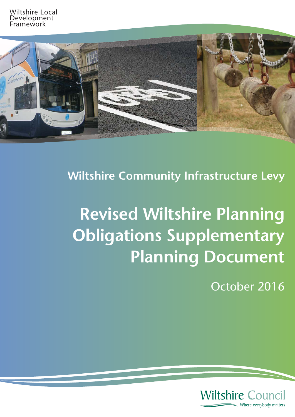

**Wiltshire Community Infrastructure Levy**

# **Revised Wiltshire Planning Obligations Supplementary Planning Document**

October 2016

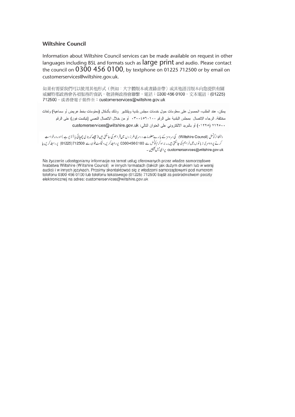#### **Wiltshire Council**

Information about Wiltshire Council services can be made available on request in other languages including BSL and formats such as  $\text{large print}$  and audio. Please contact the council on  $0300$   $456$   $0100$ , by textphone on 01225 712500 or by email on the continues council on 0300 456 000, by the continues on 0.013500 or by email of  $\frac{1}{2}$ customerservices@wiltshire.gov.uk.

如果有需要我們可以使用其他形式(例如:大字體版本或者錄音帶)或其他語言版本向您提供有關 威爾特郡政務會各項服務的資訊,敬請與政務會聯繫,電話:0300 456 0100,文本電話:(01225) 712500,或者發電子郵件至: customerservices@wiltshire.gov.uk

يمكن، عند الطلب، الحصول على معلومات حول خدمات مجلس بلدية ويلتشير ۖ وذلك بأشكال (معلومات بخط عريض أو سماعية) ولغات مختلفة. الرجاء الاتصال بمجلس البلدية على الرقم ٣٠٠٤٥٦٠١٠٠ أو من خلال الاتصال النصبي (تيكست فون) على الرقم .١٢٥٠٧ (١٢٢٥) أو بالبريد الالكتروني على العنوان التالي: customerservices@wiltshire.gov.uk

ولٹثا ئرکونس (Wiltshire Council) کی سروسز کے بارےمعلومات دوسری طرز وں میں فراہم کی جاسکتی ہیں (جیسے کہ بڑی چھپائی یا آ ڈیو ہے )اور درخواست کرنے پر دوسری زیانوں میں فراہم کی جاسکتی ہیں۔ براہ کرم کونس سے 0300 456 0100 پر رابط کریں،عیکٹ فون سے 12500 (51225) پر رابط کریں یا customerservices@wiltshire.gov.uk پرای میل جیمپیں ۔

Na życzenie udostępniamy informacje na temat usług oferowanych przez władze samorządowe hrabstwa Wiltshire (Wiltshire Council) w innych formatach (takich jak dużym drukiem lub w wersji audio) i w innych językach. Prosimy skontaktować się z władzami samorządowymi pod numerem telefonu 0300 456 0100 lub telefonu tekstowego (01225) 712500 bądź za pośrednictwem poczty elektronicznej na adres: customerservices@wiltshire.gov.uk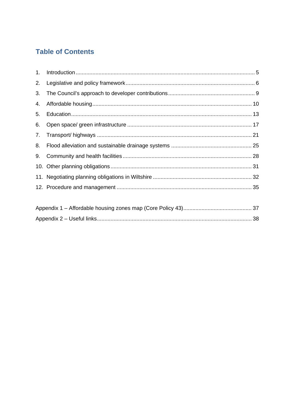# **Table of Contents**

| 2. |  |
|----|--|
| 3. |  |
| 4. |  |
| 5. |  |
| 6. |  |
|    |  |
| 8. |  |
|    |  |
|    |  |
|    |  |
|    |  |
|    |  |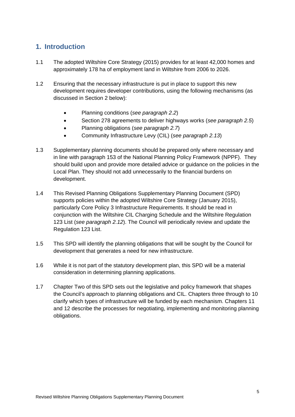# <span id="page-4-0"></span>**1. Introduction**

- 1.1 The adopted Wiltshire Core Strategy (2015) provides for at least 42,000 homes and approximately 178 ha of employment land in Wiltshire from 2006 to 2026.
- 1.2 Ensuring that the necessary infrastructure is put in place to support this new development requires developer contributions, using the following mechanisms (as discussed in Section 2 below):
	- Planning conditions (*see paragraph 2.2*)
	- Section 278 agreements to deliver highways works (*see paragraph 2.5*)
	- Planning obligations (*see paragraph 2.7*)
	- Community Infrastructure Levy (CIL) (*see paragraph 2.13*)
- 1.3 Supplementary planning documents should be prepared only where necessary and in line with paragraph 153 of the National Planning Policy Framework (NPPF). They should build upon and provide more detailed advice or guidance on the policies in the Local Plan. They should not add unnecessarily to the financial burdens on development.
- 1.4 This Revised Planning Obligations Supplementary Planning Document (SPD) supports policies within the adopted Wiltshire Core Strategy (January 2015), particularly Core Policy 3 Infrastructure Requirements. It should be read in conjunction with the Wiltshire CIL Charging Schedule and the Wiltshire Regulation 123 List (*see paragraph 2.12*). The Council will periodically review and update the Regulation 123 List.
- 1.5 This SPD will identify the planning obligations that will be sought by the Council for development that generates a need for new infrastructure.
- 1.6 While it is not part of the statutory development plan, this SPD will be a material consideration in determining planning applications.
- 1.7 Chapter Two of this SPD sets out the legislative and policy framework that shapes the Council's approach to planning obligations and CIL. Chapters three through to 10 clarify which types of infrastructure will be funded by each mechanism. Chapters 11 and 12 describe the processes for negotiating, implementing and monitoring planning obligations.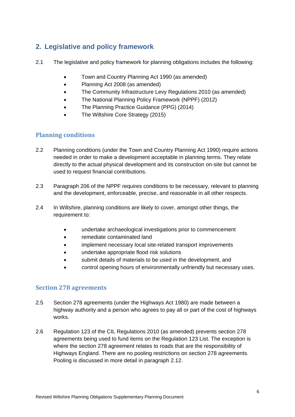# <span id="page-5-0"></span>**2. Legislative and policy framework**

- 2.1 The legislative and policy framework for planning obligations includes the following:
	- Town and Country Planning Act 1990 (as amended)
	- Planning Act 2008 (as amended)
	- The Community Infrastructure Levy Regulations 2010 (as amended)
	- The National Planning Policy Framework (NPPF) (2012)
	- The Planning Practice Guidance (PPG) (2014)
	- The Wiltshire Core Strategy (2015)

## **Planning conditions**

- 2.2 Planning conditions (under the Town and Country Planning Act 1990) require actions needed in order to make a development acceptable in planning terms. They relate directly to the actual physical development and its construction on-site but cannot be used to request financial contributions.
- 2.3 Paragraph 206 of the NPPF requires conditions to be necessary, relevant to planning and the development, enforceable, precise, and reasonable in all other respects.
- 2.4 In Wiltshire, planning conditions are likely to cover, amongst other things, the requirement to:
	- undertake archaeological investigations prior to commencement
	- remediate contaminated land
	- implement necessary local site-related transport improvements
	- undertake appropriate flood risk solutions
	- submit details of materials to be used in the development, and
	- control opening hours of environmentally unfriendly but necessary uses.

#### **Section 278 agreements**

- 2.5 Section 278 agreements (under the Highways Act 1980) are made between a highway authority and a person who agrees to pay all or part of the cost of highways works.
- 2.6 Regulation 123 of the CIL Regulations 2010 (as amended) prevents section 278 agreements being used to fund items on the Regulation 123 List. The exception is where the section 278 agreement relates to roads that are the responsibility of Highways England. There are no pooling restrictions on section 278 agreements. Pooling is discussed in more detail in paragraph 2.12.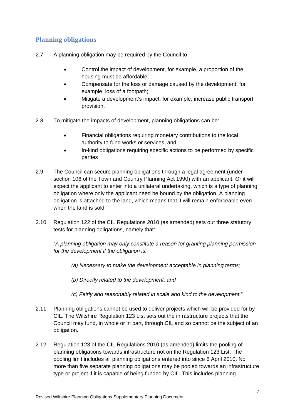# **Planning obligations**

- 2.7 A planning obligation may be required by the Council to:
	- Control the impact of development, for example, a proportion of the housing must be affordable;
	- Compensate for the loss or damage caused by the development, for example, loss of a footpath;
	- Mitigate a development's impact, for example, increase public transport provision.
- 2.8 To mitigate the impacts of development, planning obligations can be:
	- Financial obligations requiring monetary contributions to the local authority to fund works or services, and
	- In-kind obligations requiring specific actions to be performed by specific parties
- 2.9 The Council can secure planning obligations through a legal agreement (under section 106 of the Town and Country Planning Act 1990) with an applicant. Or it will expect the applicant to enter into a unilateral undertaking, which is a type of planning obligation where only the applicant need be bound by the obligation. A planning obligation is attached to the land, which means that it will remain enforceable even when the land is sold.
- 2.10 Regulation 122 of the CIL Regulations 2010 (as amended) sets out three statutory tests for planning obligations, namely that:

"*A planning obligation may only constitute a reason for granting planning permission for the development if the obligation is:*

- *(a) Necessary to make the development acceptable in planning terms;*
- *(b) Directly related to the development; and*
- *(c) Fairly and reasonably related in scale and kind to the development.*"
- 2.11 Planning obligations cannot be used to deliver projects which will be provided for by CIL. The Wiltshire Regulation 123 List sets out the infrastructure projects that the Council may fund, in whole or in part, through CIL and so cannot be the subject of an obligation.
- 2.12 Regulation 123 of the CIL Regulations 2010 (as amended) limits the pooling of planning obligations towards infrastructure not on the Regulation 123 List. The pooling limit includes all planning obligations entered into since 6 April 2010. No more than five separate planning obligations may be pooled towards an infrastructure type or project if it is capable of being funded by CIL. This includes planning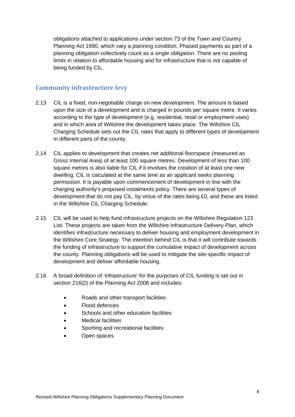obligations attached to applications under section 73 of the Town and Country Planning Act 1990, which vary a planning condition. Phased payments as part of a planning obligation collectively count as a single obligation. There are no pooling limits in relation to affordable housing and for infrastructure that is not capable of being funded by CIL.

#### **Community infrastructure levy**

- 2.13 CIL is a fixed, non-negotiable charge on new development. The amount is based upon the size of a development and is charged in pounds per square metre. It varies according to the type of development (e.g. residential, retail or employment uses) and in which area of Wiltshire the development takes place. The Wiltshire CIL Charging Schedule sets out the CIL rates that apply to different types of development in different parts of the county.
- 2.14 CIL applies to development that creates net additional floorspace (measured as Gross Internal Area) of at least 100 square metres. Development of less than 100 square metres is also liable for CIL if it involves the creation of at least one new dwelling. CIL is calculated at the same time as an applicant seeks planning permission. It is payable upon commencement of development in line with the charging authority's proposed instalments policy. There are several types of development that do not pay CIL, by virtue of the rates being £0, and these are listed in the Wiltshire CIL Charging Schedule.
- 2.15 CIL will be used to help fund infrastructure projects on the Wiltshire Regulation 123 List. These projects are taken from the Wiltshire Infrastructure Delivery Plan, which identifies infrastructure necessary to deliver housing and employment development in the Wiltshire Core Strategy. The intention behind CIL is that it will contribute towards the funding of infrastructure to support the cumulative impact of development across the county. Planning obligations will be used to mitigate the site-specific impact of development and deliver affordable housing.
- 2.16 A broad definition of 'infrastructure' for the purposes of CIL funding is set out in section 216(2) of the Planning Act 2008 and includes:
	- Roads and other transport facilities
	- Flood defences
	- Schools and other education facilities
	- Medical facilities
	- Sporting and recreational facilities
	- Open spaces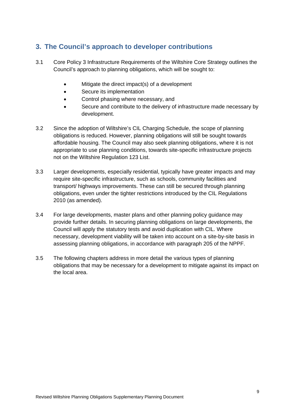# <span id="page-8-0"></span>**3. The Council's approach to developer contributions**

- 3.1 Core Policy 3 Infrastructure Requirements of the Wiltshire Core Strategy outlines the Council's approach to planning obligations, which will be sought to:
	- Mitigate the direct impact(s) of a development
	- Secure its implementation
	- Control phasing where necessary, and
	- Secure and contribute to the delivery of infrastructure made necessary by development.
- 3.2 Since the adoption of Wiltshire's CIL Charging Schedule, the scope of planning obligations is reduced. However, planning obligations will still be sought towards affordable housing. The Council may also seek planning obligations, where it is not appropriate to use planning conditions, towards site-specific infrastructure projects not on the Wiltshire Regulation 123 List.
- 3.3 Larger developments, especially residential, typically have greater impacts and may require site-specific infrastructure, such as schools, community facilities and transport/ highways improvements. These can still be secured through planning obligations, even under the tighter restrictions introduced by the CIL Regulations 2010 (as amended).
- 3.4 For large developments, master plans and other planning policy guidance may provide further details. In securing planning obligations on large developments, the Council will apply the statutory tests and avoid duplication with CIL. Where necessary, development viability will be taken into account on a site-by-site basis in assessing planning obligations, in accordance with paragraph 205 of the NPPF.
- 3.5 The following chapters address in more detail the various types of planning obligations that may be necessary for a development to mitigate against its impact on the local area.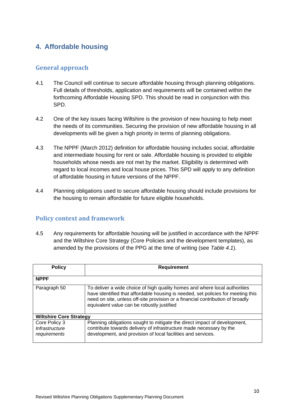# <span id="page-9-0"></span>**4. Affordable housing**

# **General approach**

- 4.1 The Council will continue to secure affordable housing through planning obligations. Full details of thresholds, application and requirements will be contained within the forthcoming Affordable Housing SPD. This should be read in conjunction with this SPD.
- 4.2 One of the key issues facing Wiltshire is the provision of new housing to help meet the needs of its communities. Securing the provision of new affordable housing in all developments will be given a high priority in terms of planning obligations.
- 4.3 The NPPF (March 2012) definition for affordable housing includes social, affordable and intermediate housing for rent or sale. Affordable housing is provided to eligible households whose needs are not met by the market. Eligibility is determined with regard to local incomes and local house prices. This SPD will apply to any definition of affordable housing in future versions of the NPPF.
- 4.4 Planning obligations used to secure affordable housing should include provisions for the housing to remain affordable for future eligible households.

## **Policy context and framework**

4.5 Any requirements for affordable housing will be justified in accordance with the NPPF and the Wiltshire Core Strategy (Core Policies and the development templates), as amended by the provisions of the PPG at the time of writing (see *Table 4.1*).

| <b>Policy</b>                                   | Requirement                                                                                                                                                                                                                                                                                    |  |
|-------------------------------------------------|------------------------------------------------------------------------------------------------------------------------------------------------------------------------------------------------------------------------------------------------------------------------------------------------|--|
| <b>NPPF</b>                                     |                                                                                                                                                                                                                                                                                                |  |
| Paragraph 50                                    | To deliver a wide choice of high quality homes and where local authorities<br>have identified that affordable housing is needed, set policies for meeting this<br>need on site, unless off-site provision or a financial contribution of broadly<br>equivalent value can be robustly justified |  |
| <b>Wiltshire Core Strategy</b>                  |                                                                                                                                                                                                                                                                                                |  |
| Core Policy 3<br>Infrastructure<br>requirements | Planning obligations sought to mitigate the direct impact of development,<br>contribute towards delivery of infrastructure made necessary by the<br>development, and provision of local facilities and services.                                                                               |  |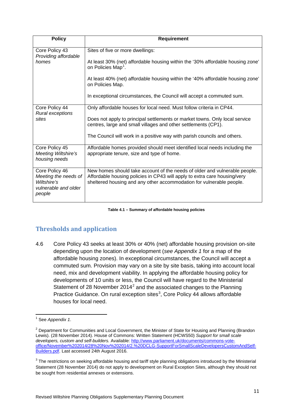| <b>Policy</b>                                                                           | Requirement                                                                                                                                                                                                                     |
|-----------------------------------------------------------------------------------------|---------------------------------------------------------------------------------------------------------------------------------------------------------------------------------------------------------------------------------|
| Core Policy 43<br>Providing affordable                                                  | Sites of five or more dwellings:                                                                                                                                                                                                |
| homes                                                                                   | At least 30% (net) affordable housing within the '30% affordable housing zone'<br>on Policies Map <sup>1</sup> .                                                                                                                |
|                                                                                         | At least 40% (net) affordable housing within the '40% affordable housing zone'<br>on Policies Map.                                                                                                                              |
|                                                                                         | In exceptional circumstances, the Council will accept a commuted sum.                                                                                                                                                           |
| Core Policy 44                                                                          | Only affordable houses for local need. Must follow criteria in CP44.                                                                                                                                                            |
| Rural exceptions<br>sites                                                               | Does not apply to principal settlements or market towns. Only local service<br>centres, large and small villages and other settlements (CP1).                                                                                   |
|                                                                                         | The Council will work in a positive way with parish councils and others.                                                                                                                                                        |
| Core Policy 45<br>Meeting Wiltshire's<br>housing needs                                  | Affordable homes provided should meet identified local needs including the<br>appropriate tenure, size and type of home.                                                                                                        |
| Core Policy 46<br>Meeting the needs of<br>Wiltshire's<br>vulnerable and older<br>people | New homes should take account of the needs of older and vulnerable people.<br>Affordable housing policies in CP43 will apply to extra care housing/very<br>sheltered housing and any other accommodation for vulnerable people. |

#### **Table 4.1 – Summary of affordable housing policies**

# **Thresholds and application**

4.6 Core Policy 43 seeks at least 30% or 40% (net) affordable housing provision on-site depending upon the location of development (*see Appendix 1* for a map of the affordable housing zones). In exceptional circumstances, the Council will accept a commuted sum. Provision may vary on a site by site basis, taking into account local need, mix and development viability. In applying the affordable housing policy for developments of 10 units or less, the Council will have regard to the Ministerial Statement of [2](#page-10-1)8 November 2014<sup>2</sup> and the associated changes to the Planning Practice Guidance. On rural exception sites<sup>[3](#page-10-2)</sup>, Core Policy 44 allows affordable houses for local need.

<span id="page-10-0"></span><sup>1</sup> See *Appendix 1*.

<span id="page-10-1"></span><sup>&</sup>lt;sup>2</sup> Department for Communities and Local Government, the Minister of State for Housing and Planning (Brandon Lewis). (28 November 2014). House of Commons: Written Statement (HCWS50) *Support for small scale developers, custom and self-builders.* Available: [http://www.parliament.uk/documents/commons-vote](http://www.parliament.uk/documents/commons-vote-office/November%202014/28%20Nov%202014/2.%20DCLG-SupportForSmallScaleDevelopersCustomAndSelf-Builders.pdf)[office/November%202014/28%20Nov%202014/2.%20DCLG-SupportForSmallScaleDevelopersCustomAndSelf-](http://www.parliament.uk/documents/commons-vote-office/November%202014/28%20Nov%202014/2.%20DCLG-SupportForSmallScaleDevelopersCustomAndSelf-Builders.pdf)[Builders.pdf.](http://www.parliament.uk/documents/commons-vote-office/November%202014/28%20Nov%202014/2.%20DCLG-SupportForSmallScaleDevelopersCustomAndSelf-Builders.pdf) Last accessed 24th August 2016.

<span id="page-10-2"></span><sup>&</sup>lt;sup>3</sup> The restrictions on seeking affordable housing and tariff style planning obligations introduced by the Ministerial Statement (28 November 2014) do not apply to development on Rural Exception Sites, although they should not be sought from residential annexes or extensions.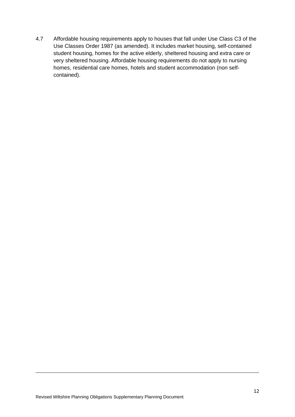4.7 Affordable housing requirements apply to houses that fall under Use Class C3 of the Use Classes Order 1987 (as amended). It includes market housing, self-contained student housing, homes for the active elderly, sheltered housing and extra care or very sheltered housing. Affordable housing requirements do not apply to nursing homes, residential care homes, hotels and student accommodation (non selfcontained).

**.**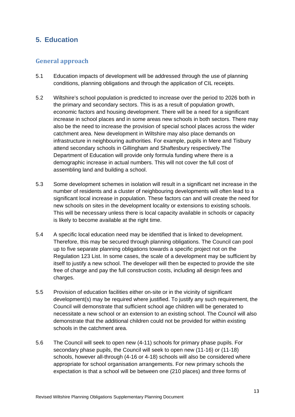# <span id="page-12-0"></span>**5. Education**

# **General approach**

- 5.1 Education impacts of development will be addressed through the use of planning conditions, planning obligations and through the application of CIL receipts.
- 5.2 Wiltshire's school population is predicted to increase over the period to 2026 both in the primary and secondary sectors. This is as a result of population growth, economic factors and housing development. There will be a need for a significant increase in school places and in some areas new schools in both sectors. There may also be the need to increase the provision of special school places across the wider catchment area. New development in Wiltshire may also place demands on infrastructure in neighbouring authorities. For example, pupils in Mere and Tisbury attend secondary schools in Gillingham and Shaftesbury respectively.The Department of Education will provide only formula funding where there is a demographic increase in actual numbers. This will not cover the full cost of assembling land and building a school.
- 5.3 Some development schemes in isolation will result in a significant net increase in the number of residents and a cluster of neighbouring developments will often lead to a significant local increase in population. These factors can and will create the need for new schools on sites in the development locality or extensions to existing schools. This will be necessary unless there is local capacity available in schools or capacity is likely to become available at the right time.
- 5.4 A specific local education need may be identified that is linked to development. Therefore, this may be secured through planning obligations. The Council can pool up to five separate planning obligations towards a specific project not on the Regulation 123 List. In some cases, the scale of a development may be sufficient by itself to justify a new school. The developer will then be expected to provide the site free of charge and pay the full construction costs, including all design fees and charges.
- 5.5 Provision of education facilities either on-site or in the vicinity of significant development(s) may be required where justified. To justify any such requirement, the Council will demonstrate that sufficient school age children will be generated to necessitate a new school or an extension to an existing school. The Council will also demonstrate that the additional children could not be provided for within existing schools in the catchment area.
- 5.6 The Council will seek to open new (4-11) schools for primary phase pupils. For secondary phase pupils, the Council will seek to open new (11-16) or (11-18) schools, however all-through (4-16 or 4-18) schools will also be considered where appropriate for school organisation arrangements. For new primary schools the expectation is that a school will be between one (210 places) and three forms of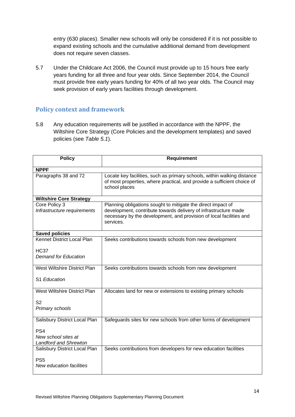entry (630 places). Smaller new schools will only be considered if it is not possible to expand existing schools and the cumulative additional demand from development does not require seven classes.

5.7 Under the Childcare Act 2006, the Council must provide up to 15 hours free early years funding for all three and four year olds. Since September 2014, the Council must provide free early years funding for 40% of all two year olds. The Council may seek provision of early years facilities through development.

# **Policy context and framework**

5.8 Any education requirements will be justified in accordance with the NPPF, the Wiltshire Core Strategy (Core Policies and the development templates) and saved policies (see *Table 5.1*).

| <b>Policy</b>                                                          | <b>Requirement</b>                                                                                                                                                                                                  |
|------------------------------------------------------------------------|---------------------------------------------------------------------------------------------------------------------------------------------------------------------------------------------------------------------|
| <b>NPPF</b>                                                            |                                                                                                                                                                                                                     |
| Paragraphs 38 and 72                                                   | Locate key facilities, such as primary schools, within walking distance<br>of most properties, where practical, and provide a sufficient choice of<br>school places                                                 |
| <b>Wiltshire Core Strategy</b>                                         |                                                                                                                                                                                                                     |
| Core Policy 3<br>Infrastructure requirements                           | Planning obligations sought to mitigate the direct impact of<br>development, contribute towards delivery of infrastructure made<br>necessary by the development, and provision of local facilities and<br>services. |
| <b>Saved policies</b>                                                  |                                                                                                                                                                                                                     |
| Kennet District Local Plan                                             | Seeks contributions towards schools from new development                                                                                                                                                            |
| <b>HC37</b><br><b>Demand for Education</b>                             |                                                                                                                                                                                                                     |
| West Wiltshire District Plan                                           | Seeks contributions towards schools from new development                                                                                                                                                            |
| S1 Education                                                           |                                                                                                                                                                                                                     |
| West Wiltshire District Plan                                           | Allocates land for new or extensions to existing primary schools                                                                                                                                                    |
| S <sub>2</sub><br>Primary schools                                      |                                                                                                                                                                                                                     |
| Salisbury District Local Plan                                          | Safeguards sites for new schools from other forms of development                                                                                                                                                    |
| PS <sub>4</sub><br>New school sites at<br><b>Landford and Shrewton</b> |                                                                                                                                                                                                                     |
| Salisbury District Local Plan                                          | Seeks contributions from developers for new education facilities                                                                                                                                                    |
| PS <sub>5</sub><br>New education facilities                            |                                                                                                                                                                                                                     |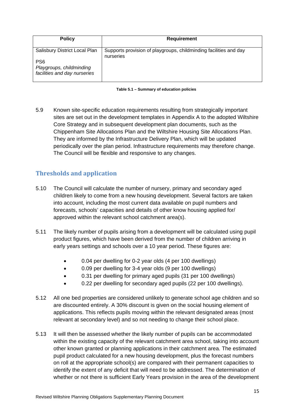| <b>Policy</b>                                                               | <b>Requirement</b>                                                             |
|-----------------------------------------------------------------------------|--------------------------------------------------------------------------------|
| Salisbury District Local Plan                                               | Supports provision of playgroups, childminding facilities and day<br>nurseries |
| PS <sub>6</sub><br>Playgroups, childminding<br>facilities and day nurseries |                                                                                |

| Table 5.1 - Summary of education policies |  |  |  |
|-------------------------------------------|--|--|--|
|-------------------------------------------|--|--|--|

5.9 Known site-specific education requirements resulting from strategically important sites are set out in the development templates in Appendix A to the adopted Wiltshire Core Strategy and in subsequent development plan documents, such as the Chippenham Site Allocations Plan and the Wiltshire Housing Site Allocations Plan. They are informed by the Infrastructure Delivery Plan, which will be updated periodically over the plan period. Infrastructure requirements may therefore change. The Council will be flexible and responsive to any changes.

# **Thresholds and application**

- 5.10 The Council will calculate the number of nursery, primary and secondary aged children likely to come from a new housing development. Several factors are taken into account, including the most current data available on pupil numbers and forecasts, schools' capacities and details of other know housing applied for/ approved within the relevant school catchment area(s).
- 5.11 The likely number of pupils arising from a development will be calculated using pupil product figures, which have been derived from the number of children arriving in early years settings and schools over a 10 year period. These figures are:
	- 0.04 per dwelling for 0-2 year olds (4 per 100 dwellings)
	- 0.09 per dwelling for 3-4 year olds (9 per 100 dwellings)
	- 0.31 per dwelling for primary aged pupils (31 per 100 dwellings)
	- 0.22 per dwelling for secondary aged pupils (22 per 100 dwellings).
- 5.12 All one bed properties are considered unlikely to generate school age children and so are discounted entirely. A 30% discount is given on the social housing element of applications. This reflects pupils moving within the relevant designated areas (most relevant at secondary level) and so not needing to change their school place.
- 5.13 It will then be assessed whether the likely number of pupils can be accommodated within the existing capacity of the relevant catchment area school, taking into account other known granted or planning applications in their catchment area. The estimated pupil product calculated for a new housing development, plus the forecast numbers on roll at the appropriate school(s) are compared with their permanent capacities to identify the extent of any deficit that will need to be addressed. The determination of whether or not there is sufficient Early Years provision in the area of the development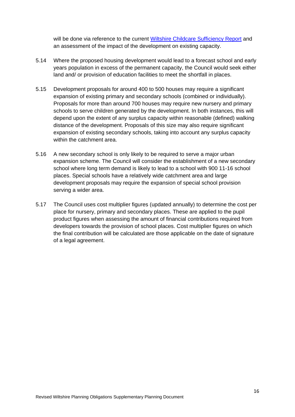will be done via reference to the current [Wiltshire Childcare Sufficiency Report](http://www.wiltshire.gov.uk/schoolseducationandlearning/earlyyearsandchildcare/childcaresufficiencyassessment.htm) and an assessment of the impact of the development on existing capacity.

- 5.14 Where the proposed housing development would lead to a forecast school and early years population in excess of the permanent capacity, the Council would seek either land and/ or provision of education facilities to meet the shortfall in places.
- 5.15 Development proposals for around 400 to 500 houses may require a significant expansion of existing primary and secondary schools (combined or individually). Proposals for more than around 700 houses may require new nursery and primary schools to serve children generated by the development. In both instances, this will depend upon the extent of any surplus capacity within reasonable (defined) walking distance of the development. Proposals of this size may also require significant expansion of existing secondary schools, taking into account any surplus capacity within the catchment area.
- 5.16 A new secondary school is only likely to be required to serve a major urban expansion scheme. The Council will consider the establishment of a new secondary school where long term demand is likely to lead to a school with 900 11-16 school places. Special schools have a relatively wide catchment area and large development proposals may require the expansion of special school provision serving a wider area.
- 5.17 The Council uses cost multiplier figures (updated annually) to determine the cost per place for nursery, primary and secondary places. These are applied to the pupil product figures when assessing the amount of financial contributions required from developers towards the provision of school places. Cost multiplier figures on which the final contribution will be calculated are those applicable on the date of signature of a legal agreement.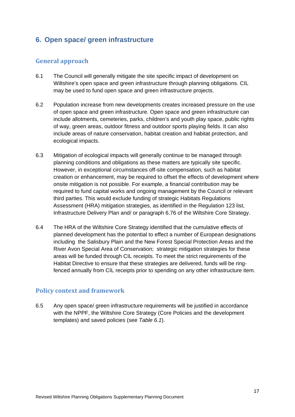# <span id="page-16-0"></span>**6. Open space/ green infrastructure**

# **General approach**

- 6.1 The Council will generally mitigate the site specific impact of development on Wiltshire's open space and green infrastructure through planning obligations. CIL may be used to fund open space and green infrastructure projects.
- 6.2 Population increase from new developments creates increased pressure on the use of open space and green infrastructure. Open space and green infrastructure can include allotments, cemeteries, parks, children's and youth play space, public rights of way, green areas, outdoor fitness and outdoor sports playing fields. It can also include areas of nature conservation, habitat creation and habitat protection, and ecological impacts.
- 6.3 Mitigation of ecological impacts will generally continue to be managed through planning conditions and obligations as these matters are typically site specific. However, in exceptional circumstances off-site compensation, such as habitat creation or enhancement, may be required to offset the effects of development where onsite mitigation is not possible. For example, a financial contribution may be required to fund capital works and ongoing management by the Council or relevant third parties. This would exclude funding of strategic Habitats Regulations Assessment (HRA) mitigation strategies, as identified in the Regulation 123 list, Infrastructure Delivery Plan and/ or paragraph 6.76 of the Wiltshire Core Strategy.
- 6.4 The HRA of the Wiltshire Core Strategy identified that the cumulative effects of planned development has the potential to effect a number of European designations including the Salisbury Plain and the New Forest Special Protection Areas and the River Avon Special Area of Conservation; strategic mitigation strategies for these areas will be funded through CIL receipts. To meet the strict requirements of the Habitat Directive to ensure that these strategies are delivered, funds will be ringfenced annually from CIL receipts prior to spending on any other infrastructure item.

## **Policy context and framework**

6.5 Any open space/ green infrastructure requirements will be justified in accordance with the NPPF, the Wiltshire Core Strategy (Core Policies and the development templates) and saved policies (see *Table 6.1*).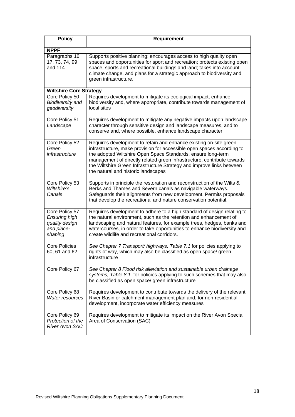| <b>Policy</b>                                                              | <b>Requirement</b>                                                                                                                                                                                                                                                                                                                                                                                     |
|----------------------------------------------------------------------------|--------------------------------------------------------------------------------------------------------------------------------------------------------------------------------------------------------------------------------------------------------------------------------------------------------------------------------------------------------------------------------------------------------|
| <b>NPPF</b>                                                                |                                                                                                                                                                                                                                                                                                                                                                                                        |
| Paragraphs 16,<br>17, 73, 74, 99<br>and 114                                | Supports positive planning; encourages access to high quality open<br>spaces and opportunities for sport and recreation; protects existing open<br>space, sports and recreational buildings and land; takes into account<br>climate change, and plans for a strategic approach to biodiversity and<br>green infrastructure.                                                                            |
| <b>Wiltshire Core Strategy</b>                                             |                                                                                                                                                                                                                                                                                                                                                                                                        |
| Core Policy 50<br><b>Biodiversity and</b><br>geodiversity                  | Requires development to mitigate its ecological impact, enhance<br>biodiversity and, where appropriate, contribute towards management of<br>local sites                                                                                                                                                                                                                                                |
| Core Policy 51<br>Landscape                                                | Requires development to mitigate any negative impacts upon landscape<br>character through sensitive design and landscape measures, and to<br>conserve and, where possible, enhance landscape character                                                                                                                                                                                                 |
| Core Policy 52<br>Green<br>infrastructure                                  | Requires development to retain and enhance existing on-site green<br>infrastructure, make provision for accessible open spaces according to<br>the adopted Wiltshire Open Space Standards, ensure long-term<br>management of directly related green infrastructure, contribute towards<br>the Wiltshire Green Infrastructure Strategy and improve links between<br>the natural and historic landscapes |
| Core Policy 53<br>Wiltshire's<br>Canals                                    | Supports in principle the restoration and reconstruction of the Wilts &<br>Berks and Thames and Severn canals as navigable waterways.<br>Safeguards their alignments from new development. Permits proposals<br>that develop the recreational and nature conservation potential.                                                                                                                       |
| Core Policy 57<br>Ensuring high<br>quality design<br>and place-<br>shaping | Requires development to adhere to a high standard of design relating to<br>the natural environment, such as the retention and enhancement of<br>landscaping and natural features, for example trees, hedges, banks and<br>watercourses, in order to take opportunities to enhance biodiversity and<br>create wildlife and recreational corridors.                                                      |
| <b>Core Policies</b><br>60, 61 and 62                                      | See Chapter 7 Transport/ highways, Table 7.1 for policies applying to<br>rights of way, which may also be classified as open space/ green<br>infrastructure                                                                                                                                                                                                                                            |
| Core Policy 67                                                             | See Chapter 8 Flood risk alleviation and sustainable urban drainage<br>systems, Table 8.1. for policies applying to such schemes that may also<br>be classified as open space/ green infrastructure                                                                                                                                                                                                    |
| Core Policy 68<br>Water resources                                          | Requires development to contribute towards the delivery of the relevant<br>River Basin or catchment management plan and, for non-residential<br>development, incorporate water efficiency measures                                                                                                                                                                                                     |
| Core Policy 69<br>Protection of the<br><b>River Avon SAC</b>               | Requires development to mitigate its impact on the River Avon Special<br>Area of Conservation (SAC)                                                                                                                                                                                                                                                                                                    |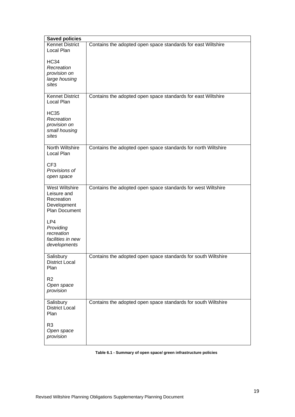| <b>Saved policies</b>                                                       |                                                               |  |  |
|-----------------------------------------------------------------------------|---------------------------------------------------------------|--|--|
| <b>Kennet District</b><br>Local Plan                                        | Contains the adopted open space standards for east Wiltshire  |  |  |
| <b>HC34</b><br>Recreation<br>provision on<br>large housing<br>sites         |                                                               |  |  |
| <b>Kennet District</b><br>Local Plan                                        | Contains the adopted open space standards for east Wiltshire  |  |  |
| <b>HC35</b><br>Recreation<br>provision on<br>small housing<br>sites         |                                                               |  |  |
| North Wiltshire<br>Local Plan                                               | Contains the adopted open space standards for north Wiltshire |  |  |
| CF <sub>3</sub><br>Provisions of<br>open space                              |                                                               |  |  |
| West Wiltshire<br>Leisure and<br>Recreation<br>Development<br>Plan Document | Contains the adopted open space standards for west Wiltshire  |  |  |
| LP4<br>Providing<br>recreation<br>facilities in new<br>developments         |                                                               |  |  |
| Salisbury<br><b>District Local</b><br>Plan                                  | Contains the adopted open space standards for south Wiltshire |  |  |
| R <sub>2</sub><br>Open space<br>provision                                   |                                                               |  |  |
| Salisbury<br><b>District Local</b><br>Plan                                  | Contains the adopted open space standards for south Wiltshire |  |  |
| R <sub>3</sub><br>Open space<br>provision                                   |                                                               |  |  |

#### **Table 6.1 - Summary of open space/ green infrastructure policies**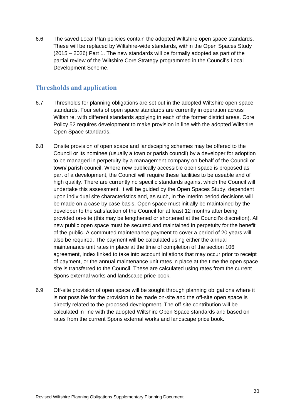6.6 The saved Local Plan policies contain the adopted Wiltshire open space standards. These will be replaced by Wiltshire-wide standards, within the Open Spaces Study (2015 – 2026) Part 1. The new standards will be formally adopted as part of the partial review of the Wiltshire Core Strategy programmed in the Council's Local Development Scheme.

# **Thresholds and application**

- 6.7 Thresholds for planning obligations are set out in the adopted Wiltshire open space standards. Four sets of open space standards are currently in operation across Wiltshire, with different standards applying in each of the former district areas. Core Policy 52 requires development to make provision in line with the adopted Wiltshire Open Space standards.
- 6.8 Onsite provision of open space and landscaping schemes may be offered to the Council or its nominee (usually a town or parish council) by a developer for adoption to be managed in perpetuity by a management company on behalf of the Council or town/ parish council. Where new publically accessible open space is proposed as part of a development, the Council will require these facilities to be useable and of high quality. There are currently no specific standards against which the Council will undertake this assessment. It will be guided by the Open Spaces Study, dependent upon individual site characteristics and, as such, in the interim period decisions will be made on a case by case basis. Open space must initially be maintained by the developer to the satisfaction of the Council for at least 12 months after being provided on-site (this may be lengthened or shortened at the Council's discretion). All new public open space must be secured and maintained in perpetuity for the benefit of the public. A commuted maintenance payment to cover a period of 20 years will also be required. The payment will be calculated using either the annual maintenance unit rates in place at the time of completion of the section 106 agreement, index linked to take into account inflations that may occur prior to receipt of payment, or the annual maintenance unit rates in place at the time the open space site is transferred to the Council. These are calculated using rates from the current Spons external works and landscape price book.
- 6.9 Off-site provision of open space will be sought through planning obligations where it is not possible for the provision to be made on-site and the off-site open space is directly related to the proposed development. The off-site contribution will be calculated in line with the adopted Wiltshire Open Space standards and based on rates from the current Spons external works and landscape price book.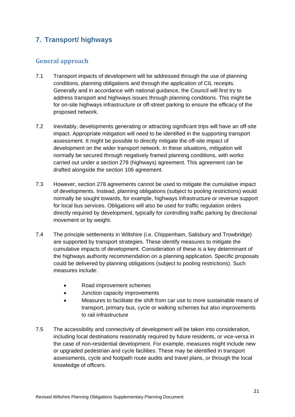# <span id="page-20-0"></span>**7. Transport/ highways**

# **General approach**

- 7.1 Transport impacts of development will be addressed through the use of planning conditions, planning obligations and through the application of CIL receipts. Generally and in accordance with national guidance, the Council will first try to address transport and highways issues through planning conditions. This might be for on-site highways infrastructure or off-street parking to ensure the efficacy of the proposed network.
- 7.2 Inevitably, developments generating or attracting significant trips will have an off-site impact. Appropriate mitigation will need to be identified in the supporting transport assessment. It might be possible to directly mitigate the off-site impact of development on the wider transport network. In these situations, mitigation will normally be secured through negatively framed planning conditions, with works carried out under a section 278 (highways) agreement. This agreement can be drafted alongside the section 106 agreement.
- 7.3 However, section 278 agreements cannot be used to mitigate the cumulative impact of developments. Instead, planning obligations (subject to pooling restrictions) would normally be sought towards, for example, highways infrastructure or revenue support for local bus services. Obligations will also be used for traffic regulation orders directly required by development, typically for controlling traffic parking by directional movement or by weight.
- 7.4 The principle settlements in Wiltshire (i.e. Chippenham, Salisbury and Trowbridge) are supported by transport strategies. These identify measures to mitigate the cumulative impacts of development. Consideration of these is a key determinant of the highways authority recommendation on a planning application. Specific proposals could be delivered by planning obligations (subject to pooling restrictions). Such measures include:
	- Road improvement schemes
	- Junction capacity improvements
	- Measures to facilitate the shift from car use to more sustainable means of transport, primary bus, cycle or walking schemes but also improvements to rail infrastructure
- 7.5 The accessibility and connectivity of development will be taken into consideration, including local destinations reasonably required by future residents, or vice-versa in the case of non-residential development. For example, measures might include new or upgraded pedestrian and cycle facilities. These may be identified in transport assessments, cycle and footpath route audits and travel plans, or through the local knowledge of officers.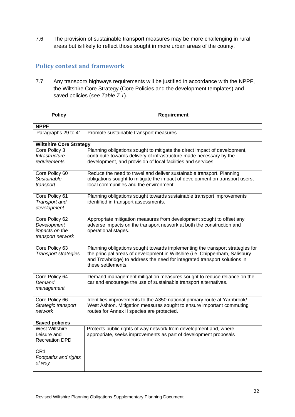7.6 The provision of sustainable transport measures may be more challenging in rural areas but is likely to reflect those sought in more urban areas of the county.

# **Policy context and framework**

7.7 Any transport/ highways requirements will be justified in accordance with the NPPF, the Wiltshire Core Strategy (Core Policies and the development templates) and saved policies (*see Table 7.1*).

| <b>Policy</b>                                                        | <b>Requirement</b>                                                                                                                                                                                                                                              |  |  |
|----------------------------------------------------------------------|-----------------------------------------------------------------------------------------------------------------------------------------------------------------------------------------------------------------------------------------------------------------|--|--|
| <b>NPPF</b>                                                          |                                                                                                                                                                                                                                                                 |  |  |
| Paragraphs 29 to 41                                                  | Promote sustainable transport measures                                                                                                                                                                                                                          |  |  |
| <b>Wiltshire Core Strategy</b>                                       |                                                                                                                                                                                                                                                                 |  |  |
| Core Policy 3                                                        | Planning obligations sought to mitigate the direct impact of development,                                                                                                                                                                                       |  |  |
| Infrastructure<br>requirements                                       | contribute towards delivery of infrastructure made necessary by the<br>development, and provision of local facilities and services.                                                                                                                             |  |  |
| Core Policy 60                                                       | Reduce the need to travel and deliver sustainable transport. Planning                                                                                                                                                                                           |  |  |
| Sustainable<br>transport                                             | obligations sought to mitigate the impact of development on transport users,<br>local communities and the environment.                                                                                                                                          |  |  |
| Core Policy 61<br>Transport and<br>development                       | Planning obligations sought towards sustainable transport improvements<br>identified in transport assessments.                                                                                                                                                  |  |  |
| Core Policy 62<br>Development<br>impacts on the<br>transport network | Appropriate mitigation measures from development sought to offset any<br>adverse impacts on the transport network at both the construction and<br>operational stages.                                                                                           |  |  |
| Core Policy 63<br><b>Transport strategies</b>                        | Planning obligations sought towards implementing the transport strategies for<br>the principal areas of development in Wiltshire (i.e. Chippenham, Salisbury<br>and Trowbridge) to address the need for integrated transport solutions in<br>these settlements. |  |  |
| Core Policy 64<br>Demand<br>management                               | Demand management mitigation measures sought to reduce reliance on the<br>car and encourage the use of sustainable transport alternatives.                                                                                                                      |  |  |
| Core Policy 66<br>Strategic transport<br>network                     | Identifies improvements to the A350 national primary route at Yarnbrook/<br>West Ashton. Mitigation measures sought to ensure important commuting<br>routes for Annex II species are protected.                                                                 |  |  |
| <b>Saved policies</b>                                                |                                                                                                                                                                                                                                                                 |  |  |
| <b>West Wiltshire</b><br>Leisure and<br><b>Recreation DPD</b>        | Protects public rights of way network from development and, where<br>appropriate, seeks improvements as part of development proposals                                                                                                                           |  |  |
| CR <sub>1</sub><br>Footpaths and rights<br>of way                    |                                                                                                                                                                                                                                                                 |  |  |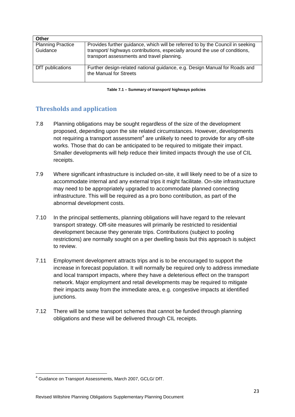| <b>Other</b>                         |                                                                                                                                                                                                             |
|--------------------------------------|-------------------------------------------------------------------------------------------------------------------------------------------------------------------------------------------------------------|
| <b>Planning Practice</b><br>Guidance | Provides further guidance, which will be referred to by the Council in seeking<br>transport/ highways contributions, especially around the use of conditions,<br>transport assessments and travel planning. |
| DfT publications                     | Further design-related national guidance, e.g. Design Manual for Roads and<br>the Manual for Streets                                                                                                        |

**Table 7.1 – Summary of transport/ highways policies**

# **Thresholds and application**

- 7.8 Planning obligations may be sought regardless of the size of the development proposed, depending upon the site related circumstances. However, developments not requiring a transport assessment<sup>[4](#page-22-0)</sup> are unlikely to need to provide for any off-site works. Those that do can be anticipated to be required to mitigate their impact. Smaller developments will help reduce their limited impacts through the use of CIL receipts.
- 7.9 Where significant infrastructure is included on-site, it will likely need to be of a size to accommodate internal and any external trips it might facilitate. On-site infrastructure may need to be appropriately upgraded to accommodate planned connecting infrastructure. This will be required as a pro bono contribution, as part of the abnormal development costs.
- 7.10 In the principal settlements, planning obligations will have regard to the relevant transport strategy. Off-site measures will primarily be restricted to residential development because they generate trips. Contributions (subject to pooling restrictions) are normally sought on a per dwelling basis but this approach is subject to review.
- 7.11 Employment development attracts trips and is to be encouraged to support the increase in forecast population. It will normally be required only to address immediate and local transport impacts, where they have a deleterious effect on the transport network. Major employment and retail developments may be required to mitigate their impacts away from the immediate area, e.g. congestive impacts at identified junctions.
- 7.12 There will be some transport schemes that cannot be funded through planning obligations and these will be delivered through CIL receipts.

<span id="page-22-0"></span><sup>4</sup> Guidance on Transport Assessments, March 2007, GCLG/ DfT.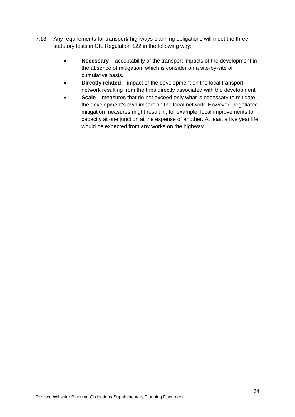- 7.13 Any requirements for transport/ highways planning obligations will meet the three statutory tests in CIL Regulation 122 in the following way:
	- **Necessary** acceptability of the transport impacts of the development in the absence of mitigation, which is consider on a site-by-site or cumulative basis.
	- **Directly related** impact of the development on the local transport network resulting from the trips directly associated with the development
	- **Scale** measures that do not exceed only what is necessary to mitigate the development's own impact on the local network. However, negotiated mitigation measures might result in, for example, local improvements to capacity at one junction at the expense of another. At least a five year life would be expected from any works on the highway.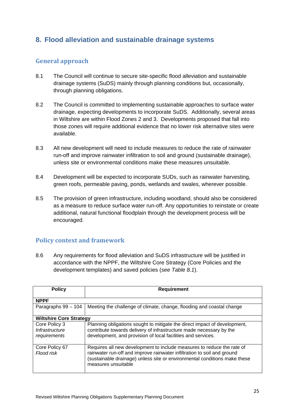# <span id="page-24-0"></span>**8. Flood alleviation and sustainable drainage systems**

# **General approach**

- 8.1 The Council will continue to secure site-specific flood alleviation and sustainable drainage systems (SuDS) mainly through planning conditions but, occasionally, through planning obligations.
- 8.2 The Council is committed to implementing sustainable approaches to surface water drainage, expecting developments to incorporate SuDS. Additionally, several areas in Wiltshire are within Flood Zones 2 and 3. Developments proposed that fall into those zones will require additional evidence that no lower risk alternative sites were available.
- 8.3 All new development will need to include measures to reduce the rate of rainwater run-off and improve rainwater infiltration to soil and ground (sustainable drainage), unless site or environmental conditions make these measures unsuitable.
- 8.4 Development will be expected to incorporate SUDs, such as rainwater harvesting, green roofs, permeable paving, ponds, wetlands and swales, wherever possible.
- 8.5 The provision of green infrastructure, including woodland, should also be considered as a measure to reduce surface water run-off. Any opportunities to reinstate or create additional, natural functional floodplain through the development process will be encouraged.

# **Policy context and framework**

8.6 Any requirements for flood alleviation and SuDS infrastructure will be justified in accordance with the NPPF, the Wiltshire Core Strategy (Core Policies and the development templates) and saved policies (*see Table 8.1*).

| <b>Policy</b>                                   | <b>Requirement</b>                                                                                                                                                                                                                                    |
|-------------------------------------------------|-------------------------------------------------------------------------------------------------------------------------------------------------------------------------------------------------------------------------------------------------------|
| <b>NPPF</b>                                     |                                                                                                                                                                                                                                                       |
| Paragraphs 99 - 104                             | Meeting the challenge of climate, change, flooding and coastal change                                                                                                                                                                                 |
| <b>Wiltshire Core Strategy</b>                  |                                                                                                                                                                                                                                                       |
| Core Policy 3<br>Infrastructure<br>requirements | Planning obligations sought to mitigate the direct impact of development,<br>contribute towards delivery of infrastructure made necessary by the<br>development, and provision of local facilities and services.                                      |
| Core Policy 67<br>Flood risk                    | Requires all new development to include measures to reduce the rate of<br>rainwater run-off and improve rainwater infiltration to soil and ground<br>(sustainable drainage) unless site or environmental conditions make these<br>measures unsuitable |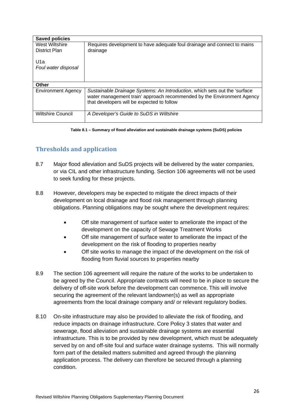| <b>Saved policies</b>     |                                                                            |  |
|---------------------------|----------------------------------------------------------------------------|--|
| West Wiltshire            | Requires development to have adequate foul drainage and connect to mains   |  |
| District Plan             | drainage                                                                   |  |
|                           |                                                                            |  |
| U1a                       |                                                                            |  |
| Foul water disposal       |                                                                            |  |
|                           |                                                                            |  |
|                           |                                                                            |  |
| Other                     |                                                                            |  |
| <b>Environment Agency</b> | Sustainable Drainage Systems: An Introduction, which sets out the 'surface |  |
|                           | water management train' approach recommended by the Environment Agency     |  |
|                           | that developers will be expected to follow                                 |  |
|                           |                                                                            |  |
| <b>Wiltshire Council</b>  | A Developer's Guide to SuDS in Wiltshire                                   |  |
|                           |                                                                            |  |

#### **Table 8.1 – Summary of flood alleviation and sustainable drainage systems (SuDS) policies**

# **Thresholds and application**

- 8.7 Major flood alleviation and SuDS projects will be delivered by the water companies, or via CIL and other infrastructure funding. Section 106 agreements will not be used to seek funding for these projects.
- 8.8 However, developers may be expected to mitigate the direct impacts of their development on local drainage and flood risk management through planning obligations. Planning obligations may be sought where the development requires:
	- Off site management of surface water to ameliorate the impact of the development on the capacity of Sewage Treatment Works
	- Off site management of surface water to ameliorate the impact of the development on the risk of flooding to properties nearby
	- Off site works to manage the impact of the development on the risk of flooding from fluvial sources to properties nearby
- 8.9 The section 106 agreement will require the nature of the works to be undertaken to be agreed by the Council. Appropriate contracts will need to be in place to secure the delivery of off-site work before the development can commence. This will involve securing the agreement of the relevant landowner(s) as well as appropriate agreements from the local drainage company and/ or relevant regulatory bodies.
- 8.10 On-site infrastructure may also be provided to alleviate the risk of flooding, and reduce impacts on drainage infrastructure. Core Policy 3 states that water and sewerage, flood alleviation and sustainable drainage systems are essential infrastructure. This is to be provided by new development, which must be adequately served by on and off-site foul and surface water drainage systems. This will normally form part of the detailed matters submitted and agreed through the planning application process. The delivery can therefore be secured through a planning condition.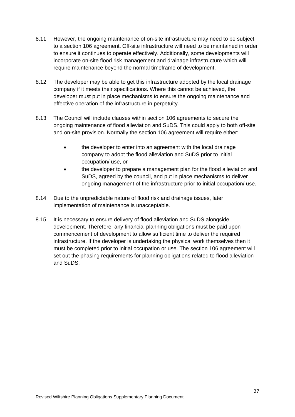- 8.11 However, the ongoing maintenance of on-site infrastructure may need to be subject to a section 106 agreement. Off-site infrastructure will need to be maintained in order to ensure it continues to operate effectively. Additionally, some developments will incorporate on-site flood risk management and drainage infrastructure which will require maintenance beyond the normal timeframe of development.
- 8.12 The developer may be able to get this infrastructure adopted by the local drainage company if it meets their specifications. Where this cannot be achieved, the developer must put in place mechanisms to ensure the ongoing maintenance and effective operation of the infrastructure in perpetuity.
- 8.13 The Council will include clauses within section 106 agreements to secure the ongoing maintenance of flood alleviation and SuDS. This could apply to both off-site and on-site provision. Normally the section 106 agreement will require either:
	- the developer to enter into an agreement with the local drainage company to adopt the flood alleviation and SuDS prior to initial occupation/ use, or
	- the developer to prepare a management plan for the flood alleviation and SuDS, agreed by the council, and put in place mechanisms to deliver ongoing management of the infrastructure prior to initial occupation/ use.
- 8.14 Due to the unpredictable nature of flood risk and drainage issues, later implementation of maintenance is unacceptable.
- 8.15 It is necessary to ensure delivery of flood alleviation and SuDS alongside development. Therefore, any financial planning obligations must be paid upon commencement of development to allow sufficient time to deliver the required infrastructure. If the developer is undertaking the physical work themselves then it must be completed prior to initial occupation or use. The section 106 agreement will set out the phasing requirements for planning obligations related to flood alleviation and SuDS.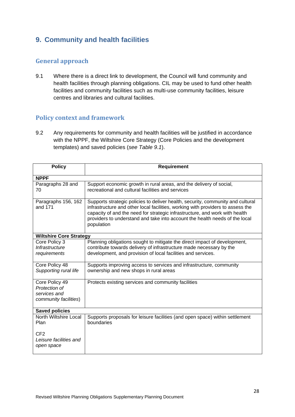# <span id="page-27-0"></span>**9. Community and health facilities**

# **General approach**

9.1 Where there is a direct link to development, the Council will fund community and health facilities through planning obligations. CIL may be used to fund other health facilities and community facilities such as multi-use community facilities, leisure centres and libraries and cultural facilities.

# **Policy context and framework**

9.2 Any requirements for community and health facilities will be justified in accordance with the NPPF, the Wiltshire Core Strategy (Core Policies and the development templates) and saved policies (*see Table 9.1*).

| <b>Policy</b>                                                            | <b>Requirement</b>                                                                                                                                                                                                                                                                                                                             |  |
|--------------------------------------------------------------------------|------------------------------------------------------------------------------------------------------------------------------------------------------------------------------------------------------------------------------------------------------------------------------------------------------------------------------------------------|--|
| <b>NPPF</b>                                                              |                                                                                                                                                                                                                                                                                                                                                |  |
| Paragraphs 28 and<br>70                                                  | Support economic growth in rural areas, and the delivery of social,<br>recreational and cultural facilities and services                                                                                                                                                                                                                       |  |
| Paragraphs 156, 162<br>and 171                                           | Supports strategic policies to deliver health, security, community and cultural<br>infrastructure and other local facilities, working with providers to assess the<br>capacity of and the need for strategic infrastructure, and work with health<br>providers to understand and take into account the health needs of the local<br>population |  |
| <b>Wiltshire Core Strategy</b>                                           |                                                                                                                                                                                                                                                                                                                                                |  |
| Core Policy 3<br>Infrastructure<br>requirements                          | Planning obligations sought to mitigate the direct impact of development,<br>contribute towards delivery of infrastructure made necessary by the<br>development, and provision of local facilities and services.                                                                                                                               |  |
| Core Policy 48<br>Supporting rural life                                  | Supports improving access to services and infrastructure, community<br>ownership and new shops in rural areas                                                                                                                                                                                                                                  |  |
| Core Policy 49<br>Protection of<br>services and<br>community facilities) | Protects existing services and community facilities                                                                                                                                                                                                                                                                                            |  |
| <b>Saved policies</b>                                                    |                                                                                                                                                                                                                                                                                                                                                |  |
| North Wiltshire Local<br>Plan                                            | Supports proposals for leisure facilities (and open space) within settlement<br>boundaries                                                                                                                                                                                                                                                     |  |
| CF2<br>Leisure facilities and<br>open space                              |                                                                                                                                                                                                                                                                                                                                                |  |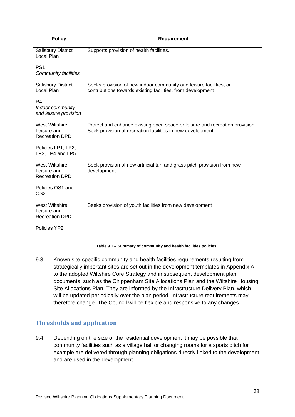| <b>Policy</b>                                                 | <b>Requirement</b>                                                                                                                          |
|---------------------------------------------------------------|---------------------------------------------------------------------------------------------------------------------------------------------|
| <b>Salisbury District</b><br>Local Plan                       | Supports provision of health facilities.                                                                                                    |
| PS <sub>1</sub><br>Community facilities                       |                                                                                                                                             |
| Salisbury District<br>Local Plan                              | Seeks provision of new indoor community and leisure facilities, or<br>contributions towards existing facilities, from development           |
| R4<br>Indoor community<br>and leisure provision               |                                                                                                                                             |
| <b>West Wiltshire</b><br>Leisure and<br><b>Recreation DPD</b> | Protect and enhance existing open space or leisure and recreation provision.<br>Seek provision of recreation facilities in new development. |
| Policies LP1, LP2,<br>LP3, LP4 and LP5                        |                                                                                                                                             |
| <b>West Wiltshire</b><br>Leisure and<br><b>Recreation DPD</b> | Seek provision of new artificial turf and grass pitch provision from new<br>development                                                     |
| Policies OS1 and<br>OS <sub>2</sub>                           |                                                                                                                                             |
| <b>West Wiltshire</b><br>Leisure and<br><b>Recreation DPD</b> | Seeks provision of youth facilities from new development                                                                                    |
| Policies YP2                                                  |                                                                                                                                             |

#### **Table 9.1 – Summary of community and health facilities policies**

9.3 Known site-specific community and health facilities requirements resulting from strategically important sites are set out in the development templates in Appendix A to the adopted Wiltshire Core Strategy and in subsequent development plan documents, such as the Chippenham Site Allocations Plan and the Wiltshire Housing Site Allocations Plan. They are informed by the Infrastructure Delivery Plan, which will be updated periodically over the plan period. Infrastructure requirements may therefore change. The Council will be flexible and responsive to any changes.

# **Thresholds and application**

9.4 Depending on the size of the residential development it may be possible that community facilities such as a village hall or changing rooms for a sports pitch for example are delivered through planning obligations directly linked to the development and are used in the development.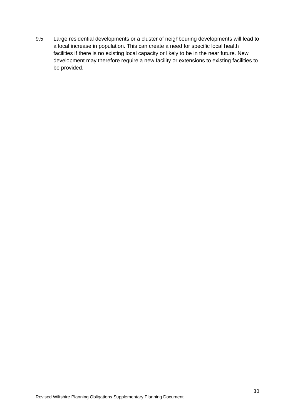9.5 Large residential developments or a cluster of neighbouring developments will lead to a local increase in population. This can create a need for specific local health facilities if there is no existing local capacity or likely to be in the near future. New development may therefore require a new facility or extensions to existing facilities to be provided.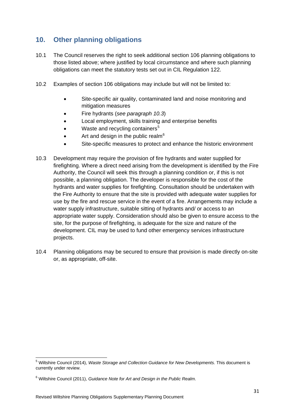# <span id="page-30-0"></span>**10. Other planning obligations**

- 10.1 The Council reserves the right to seek additional section 106 planning obligations to those listed above; where justified by local circumstance and where such planning obligations can meet the statutory tests set out in CIL Regulation 122.
- 10.2 Examples of section 106 obligations may include but will not be limited to:
	- Site-specific air quality, contaminated land and noise monitoring and mitigation measures
	- Fire hydrants (*see paragraph 10.3*)
	- Local employment, skills training and enterprise benefits
	- Waste and recycling containers $5$
	- Art and design in the public realm<sup>[6](#page-30-2)</sup>
	- Site-specific measures to protect and enhance the historic environment
- 10.3 Development may require the provision of fire hydrants and water supplied for firefighting. Where a direct need arising from the development is identified by the Fire Authority, the Council will seek this through a planning condition or, if this is not possible, a planning obligation. The developer is responsible for the cost of the hydrants and water supplies for firefighting. Consultation should be undertaken with the Fire Authority to ensure that the site is provided with adequate water supplies for use by the fire and rescue service in the event of a fire. Arrangements may include a water supply infrastructure, suitable sitting of hydrants and/ or access to an appropriate water supply. Consideration should also be given to ensure access to the site, for the purpose of firefighting, is adequate for the size and nature of the development. CIL may be used to fund other emergency services infrastructure projects.
- 10.4 Planning obligations may be secured to ensure that provision is made directly on-site or, as appropriate, off-site.

<span id="page-30-1"></span><sup>5</sup> Wiltshire Council (2014), *Waste Storage and Collection Guidance for New Developments.* This document is currently under review.

<span id="page-30-2"></span><sup>6</sup> Wiltshire Council (2011), *Guidance Note for Art and Design in the Public Realm*.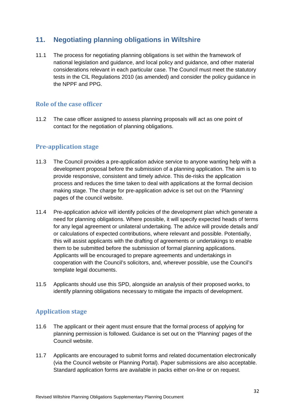# <span id="page-31-0"></span>**11. Negotiating planning obligations in Wiltshire**

11.1 The process for negotiating planning obligations is set within the framework of national legislation and guidance, and local policy and guidance, and other material considerations relevant in each particular case. The Council must meet the statutory tests in the CIL Regulations 2010 (as amended) and consider the policy guidance in the NPPF and PPG.

#### **Role of the case officer**

11.2 The case officer assigned to assess planning proposals will act as one point of contact for the negotiation of planning obligations.

#### **Pre-application stage**

- 11.3 The Council provides a pre-application advice service to anyone wanting help with a development proposal before the submission of a planning application. The aim is to provide responsive, consistent and timely advice. This de-risks the application process and reduces the time taken to deal with applications at the formal decision making stage. The charge for pre-application advice is set out on the 'Planning' pages of the council website.
- 11.4 Pre-application advice will identify policies of the development plan which generate a need for planning obligations. Where possible, it will specify expected heads of terms for any legal agreement or unilateral undertaking. The advice will provide details and/ or calculations of expected contributions, where relevant and possible. Potentially, this will assist applicants with the drafting of agreements or undertakings to enable them to be submitted before the submission of formal planning applications. Applicants will be encouraged to prepare agreements and undertakings in cooperation with the Council's solicitors, and, wherever possible, use the Council's template legal documents.
- 11.5 Applicants should use this SPD, alongside an analysis of their proposed works, to identify planning obligations necessary to mitigate the impacts of development.

## **Application stage**

- 11.6 The applicant or their agent must ensure that the formal process of applying for planning permission is followed. Guidance is set out on the 'Planning' pages of the Council website.
- 11.7 Applicants are encouraged to submit forms and related documentation electronically (via the Council website or Planning Portal). Paper submissions are also acceptable. Standard application forms are available in packs either on-line or on request.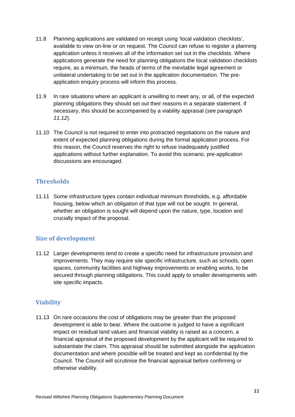- 11.8 Planning applications are validated on receipt using 'local validation checklists', available to view on-line or on request. The Council can refuse to register a planning application unless it receives all of the information set out in the checklists. Where applications generate the need for planning obligations the local validation checklists require, as a minimum, the heads of terms of the inevitable legal agreement or unilateral undertaking to be set out in the application documentation. The preapplication enquiry process will inform this process.
- 11.9 In rare situations where an applicant is unwilling to meet any, or all, of the expected planning obligations they should set out their reasons in a separate statement. If necessary, this should be accompanied by a viability appraisal (*see paragraph 11.12*).
- 11.10 The Council is not required to enter into protracted negotiations on the nature and extent of expected planning obligations during the formal application process. For this reason, the Council reserves the right to refuse inadequately justified applications without further explanation. To avoid this scenario, pre-application discussions are encouraged.

# **Thresholds**

11.11 Some infrastructure types contain individual minimum thresholds, e.g. affordable housing, below which an obligation of that type will not be sought. In general, whether an obligation is sought will depend upon the nature, type, location and crucially impact of the proposal.

## **Size of development**

11.12 Larger developments tend to create a specific need for infrastructure provision and improvements. They may require site specific infrastructure, such as schools, open spaces, community facilities and highway improvements or enabling works, to be secured through planning obligations. This could apply to smaller developments with site specific impacts.

# **Viability**

11.13 On rare occasions the cost of obligations may be greater than the proposed development is able to bear. Where the outcome is judged to have a significant impact on residual land values and financial viability is raised as a concern, a financial appraisal of the proposed development by the applicant will be required to substantiate the claim. This appraisal should be submitted alongside the application documentation and where possible will be treated and kept as confidential by the Council. The Council will scrutinise the financial appraisal before confirming or otherwise viability.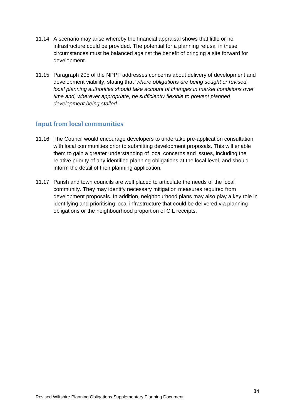- 11.14 A scenario may arise whereby the financial appraisal shows that little or no infrastructure could be provided. The potential for a planning refusal in these circumstances must be balanced against the benefit of bringing a site forward for development.
- 11.15 Paragraph 205 of the NPPF addresses concerns about delivery of development and development viability, stating that '*where obligations are being sought or revised, local planning authorities should take account of changes in market conditions over time and, wherever appropriate, be sufficiently flexible to prevent planned development being stalled.*'

#### **Input from local communities**

- 11.16 The Council would encourage developers to undertake pre-application consultation with local communities prior to submitting development proposals. This will enable them to gain a greater understanding of local concerns and issues, including the relative priority of any identified planning obligations at the local level, and should inform the detail of their planning application.
- 11.17 Parish and town councils are well placed to articulate the needs of the local community. They may identify necessary mitigation measures required from development proposals. In addition, neighbourhood plans may also play a key role in identifying and prioritising local infrastructure that could be delivered via planning obligations or the neighbourhood proportion of CIL receipts.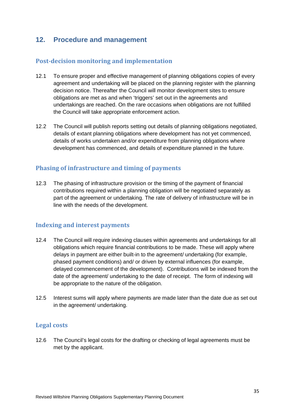# <span id="page-34-0"></span>**12. Procedure and management**

#### **Post-decision monitoring and implementation**

- 12.1 To ensure proper and effective management of planning obligations copies of every agreement and undertaking will be placed on the planning register with the planning decision notice. Thereafter the Council will monitor development sites to ensure obligations are met as and when 'triggers' set out in the agreements and undertakings are reached. On the rare occasions when obligations are not fulfilled the Council will take appropriate enforcement action.
- 12.2 The Council will publish reports setting out details of planning obligations negotiated, details of extant planning obligations where development has not yet commenced, details of works undertaken and/or expenditure from planning obligations where development has commenced, and details of expenditure planned in the future.

#### **Phasing of infrastructure and timing of payments**

12.3 The phasing of infrastructure provision or the timing of the payment of financial contributions required within a planning obligation will be negotiated separately as part of the agreement or undertaking. The rate of delivery of infrastructure will be in line with the needs of the development.

#### **Indexing and interest payments**

- 12.4 The Council will require indexing clauses within agreements and undertakings for all obligations which require financial contributions to be made. These will apply where delays in payment are either built-in to the agreement/ undertaking (for example, phased payment conditions) and/ or driven by external influences (for example, delayed commencement of the development). Contributions will be indexed from the date of the agreement/ undertaking to the date of receipt. The form of indexing will be appropriate to the nature of the obligation.
- 12.5 Interest sums will apply where payments are made later than the date due as set out in the agreement/ undertaking.

#### **Legal costs**

12.6 The Council's legal costs for the drafting or checking of legal agreements must be met by the applicant.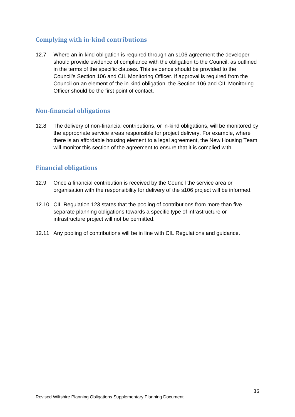# **Complying with in-kind contributions**

12.7 Where an in-kind obligation is required through an s106 agreement the developer should provide evidence of compliance with the obligation to the Council, as outlined in the terms of the specific clauses. This evidence should be provided to the Council's Section 106 and CIL Monitoring Officer. If approval is required from the Council on an element of the in-kind obligation, the Section 106 and CIL Monitoring Officer should be the first point of contact.

#### **Non-financial obligations**

12.8 The delivery of non-financial contributions, or in-kind obligations, will be monitored by the appropriate service areas responsible for project delivery. For example, where there is an affordable housing element to a legal agreement, the New Housing Team will monitor this section of the agreement to ensure that it is complied with.

#### **Financial obligations**

- 12.9 Once a financial contribution is received by the Council the service area or organisation with the responsibility for delivery of the s106 project will be informed.
- 12.10 CIL Regulation 123 states that the pooling of contributions from more than five separate planning obligations towards a specific type of infrastructure or infrastructure project will not be permitted.
- 12.11 Any pooling of contributions will be in line with CIL Regulations and guidance.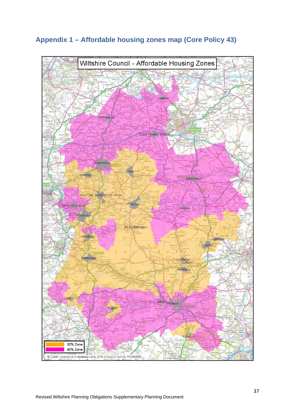

# <span id="page-36-0"></span>**Appendix 1 – Affordable housing zones map (Core Policy 43)**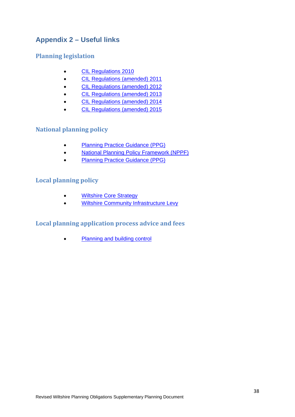# <span id="page-37-0"></span>**Appendix 2 – Useful links**

# **Planning legislation**

- [CIL Regulations 2010](http://www.legislation.gov.uk/uksi/2010/948/contents/made)
- [CIL Regulations \(amended\) 2011](http://www.legislation.gov.uk/uksi/2011/987/contents/made)
- [CIL Regulations \(amended\) 2012](http://www.legislation.gov.uk/uksi/2012/2975/contents/made)
- [CIL Regulations \(amended\) 2013](http://www.legislation.gov.uk/uksi/2013/982/contents/made)
- [CIL Regulations \(amended\) 2014](http://www.legislation.gov.uk/ukdsi/2014/9780111108543/contents)
- [CIL Regulations \(amended\) 2015](http://www.legislation.gov.uk/uksi/2015/836/contents/made)

## **National planning policy**

- [Planning Practice Guidance \(PPG\)](http://planningguidance.planningportal.gov.uk/)
- [National Planning Policy Framework \(NPPF\)](http://planningguidance.planningportal.gov.uk/blog/policy/)
- [Planning Practice Guidance \(PPG\)](http://planningguidance.planningportal.gov.uk/blog/guidance/)

## **Local planning policy**

- **[Wiltshire Core Strategy](http://www.wiltshire.gov.uk/planninganddevelopment/planningpolicy/wiltshirecorestrategy.htm)**
- [Wiltshire Community Infrastructure Levy](http://www.wiltshire.gov.uk/planninganddevelopment/planningpolicy/communityinfrastructurelevy.htm)

# **Local planning application process advice and fees**

• [Planning and building control](http://www.wiltshire.gov.uk/planninganddevelopment.htm)